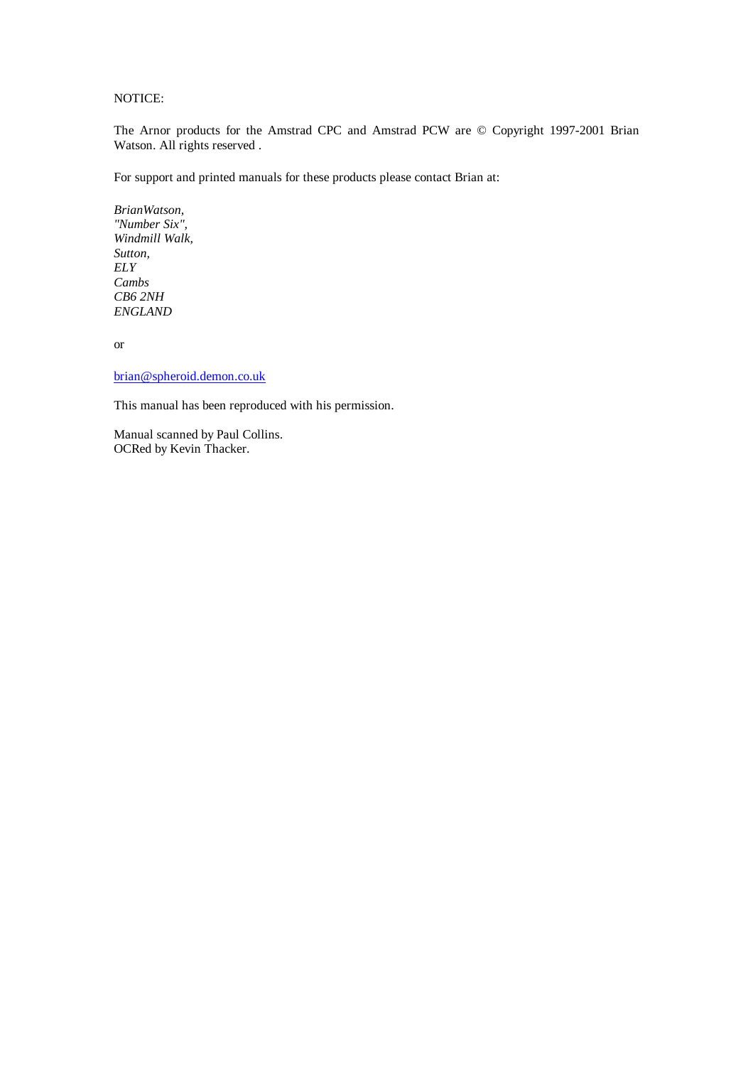NOTICE:

The Arnor products for the Amstrad CPC and Amstrad PCW are © Copyright 1997-2001 Brian Watson. All rights reserved .

For support and printed manuals for these products please contact Brian at:

*BrianWatson, "Number Six", Windmill Walk, Sutton, ELY Cambs CB6 2NH ENGLAND*

or

brian@spheroid.demon.co.uk

This manual has been reproduced with his permission.

Manual scanned by Paul Collins. OCRed by Kevin Thacker.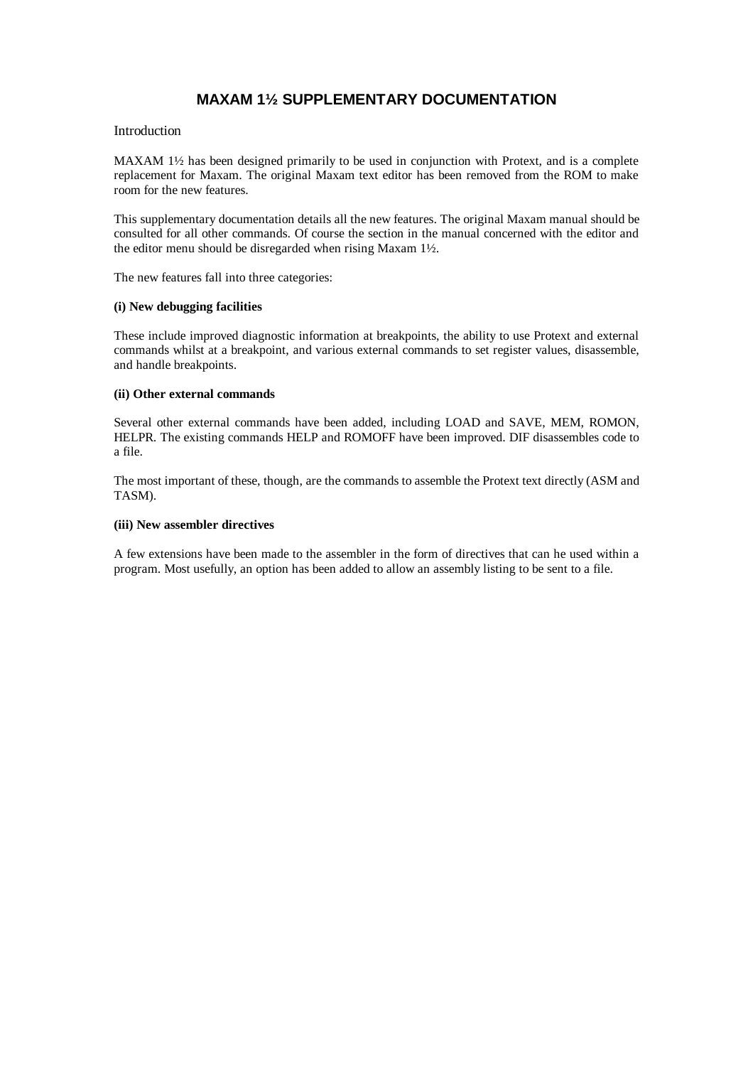# **MAXAM 1½ SUPPLEMENTARY DOCUMENTATION**

### Introduction

MAXAM 1½ has been designed primarily to be used in conjunction with Protext, and is a complete replacement for Maxam. The original Maxam text editor has been removed from the ROM to make room for the new features.

This supplementary documentation details all the new features. The original Maxam manual should be consulted for all other commands. Of course the section in the manual concerned with the editor and the editor menu should be disregarded when rising Maxam 1½.

The new features fall into three categories:

### **(i) New debugging facilities**

These include improved diagnostic information at breakpoints, the ability to use Protext and external commands whilst at a breakpoint, and various external commands to set register values, disassemble, and handle breakpoints.

### **(ii) Other external commands**

Several other external commands have been added, including LOAD and SAVE, MEM, ROMON, HELPR. The existing commands HELP and ROMOFF have been improved. DIF disassembles code to a file.

The most important of these, though, are the commands to assemble the Protext text directly (ASM and TASM).

### **(iii) New assembler directives**

A few extensions have been made to the assembler in the form of directives that can he used within a program. Most usefully, an option has been added to allow an assembly listing to be sent to a file.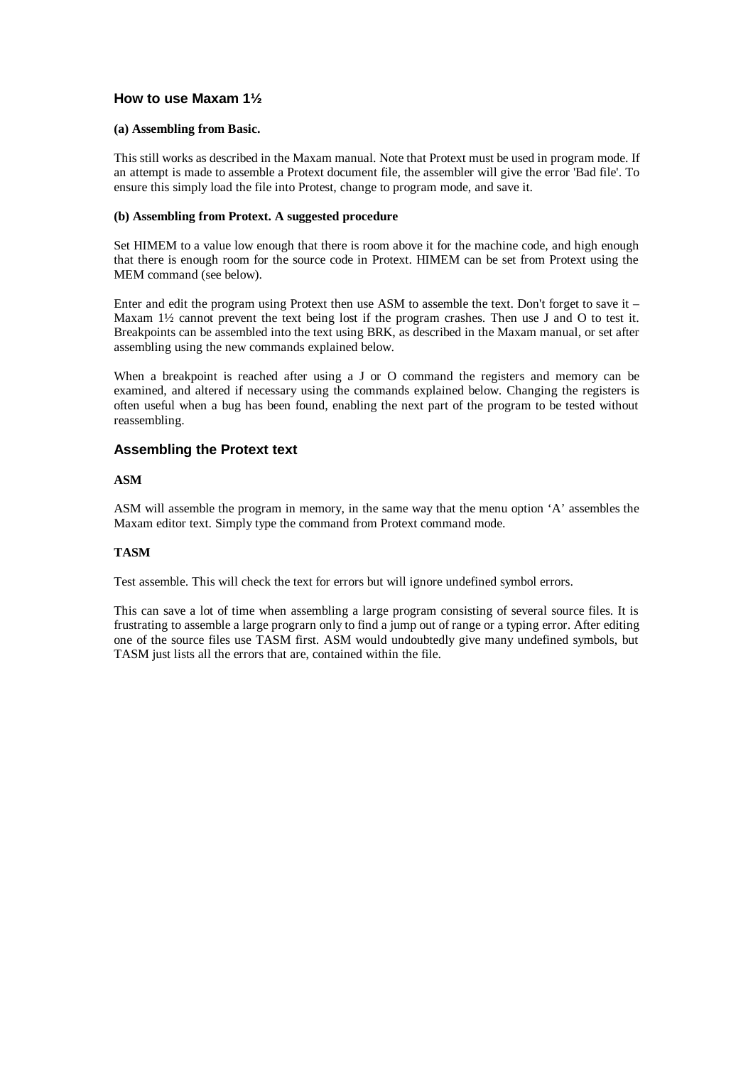## **How to use Maxam 1½**

#### **(a) Assembling from Basic.**

This still works as described in the Maxam manual. Note that Protext must be used in program mode. If an attempt is made to assemble a Protext document file, the assembler will give the error 'Bad file'. To ensure this simply load the file into Protest, change to program mode, and save it.

### **(b) Assembling from Protext. A suggested procedure**

Set HIMEM to a value low enough that there is room above it for the machine code, and high enough that there is enough room for the source code in Protext. HIMEM can be set from Protext using the MEM command (see below).

Enter and edit the program using Protext then use ASM to assemble the text. Don't forget to save it – Maxam 1½ cannot prevent the text being lost if the program crashes. Then use J and O to test it. Breakpoints can be assembled into the text using BRK, as described in the Maxam manual, or set after assembling using the new commands explained below.

When a breakpoint is reached after using a J or O command the registers and memory can be examined, and altered if necessary using the commands explained below. Changing the registers is often useful when a bug has been found, enabling the next part of the program to be tested without reassembling.

## **Assembling the Protext text**

### **ASM**

ASM will assemble the program in memory, in the same way that the menu option 'A' assembles the Maxam editor text. Simply type the command from Protext command mode.

## **TASM**

Test assemble. This will check the text for errors but will ignore undefined symbol errors.

This can save a lot of time when assembling a large program consisting of several source files. It is frustrating to assemble a large prograrn only to find a jump out of range or a typing error. After editing one of the source files use TASM first. ASM would undoubtedly give many undefined symbols, but TASM just lists all the errors that are, contained within the file.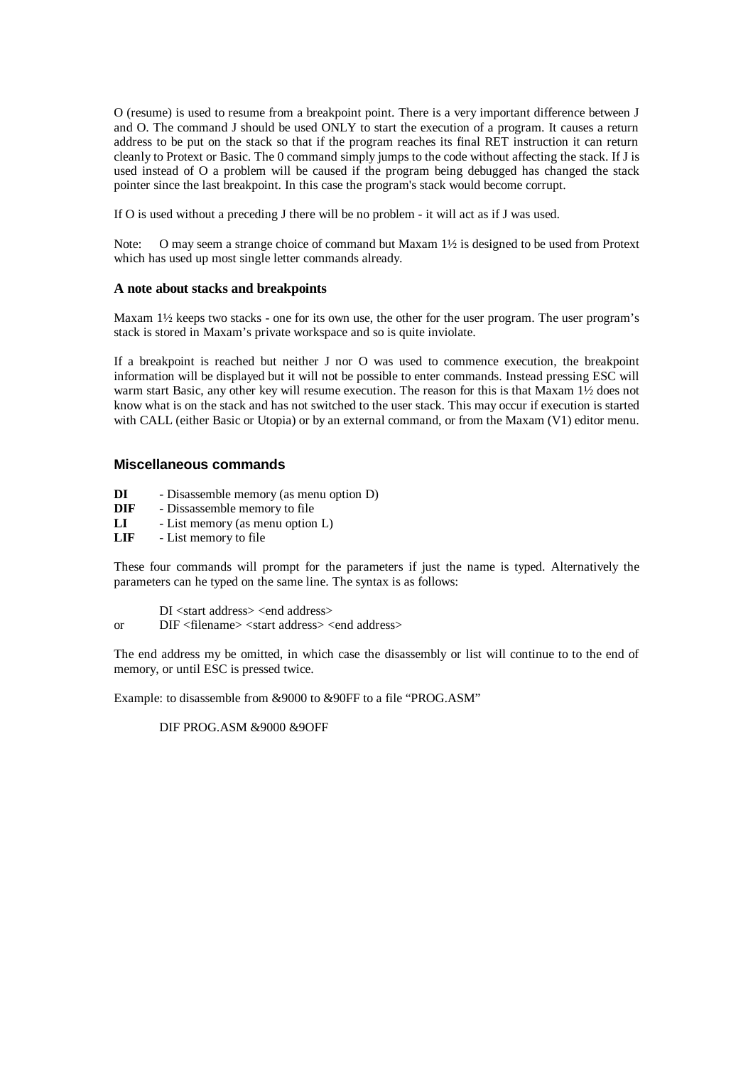O (resume) is used to resume from a breakpoint point. There is a very important difference between J and O. The command J should be used ONLY to start the execution of a program. It causes a return address to be put on the stack so that if the program reaches its final RET instruction it can return cleanly to Protext or Basic. The 0 command simply jumps to the code without affecting the stack. If J is used instead of O a problem will be caused if the program being debugged has changed the stack pointer since the last breakpoint. In this case the program's stack would become corrupt.

If O is used without a preceding J there will be no problem - it will act as if J was used.

Note: O may seem a strange choice of command but Maxam 1½ is designed to be used from Protext which has used up most single letter commands already.

### **A note about stacks and breakpoints**

Maxam  $1\frac{1}{2}$  keeps two stacks - one for its own use, the other for the user program. The user program's stack is stored in Maxam's private workspace and so is quite inviolate.

If a breakpoint is reached but neither J nor O was used to commence execution, the breakpoint information will be displayed but it will not be possible to enter commands. Instead pressing ESC will warm start Basic, any other key will resume execution. The reason for this is that Maxam 1½ does not know what is on the stack and has not switched to the user stack. This may occur if execution is started with CALL (either Basic or Utopia) or by an external command, or from the Maxam (V1) editor menu.

## **Miscellaneous commands**

- **DI** Disassemble memory (as menu option D)
- **DIF** Dissassemble memory to file
- **LI** List memory (as menu option L)
- **LIF** List memory to file

These four commands will prompt for the parameters if just the name is typed. Alternatively the parameters can he typed on the same line. The syntax is as follows:

- DI <start address> <end address>
- or DIF <filename> <start address> <end address>

The end address my be omitted, in which case the disassembly or list will continue to to the end of memory, or until ESC is pressed twice.

Example: to disassemble from &9000 to &90FF to a file "PROG.ASM"

DIF PROG.ASM &9000 &9OFF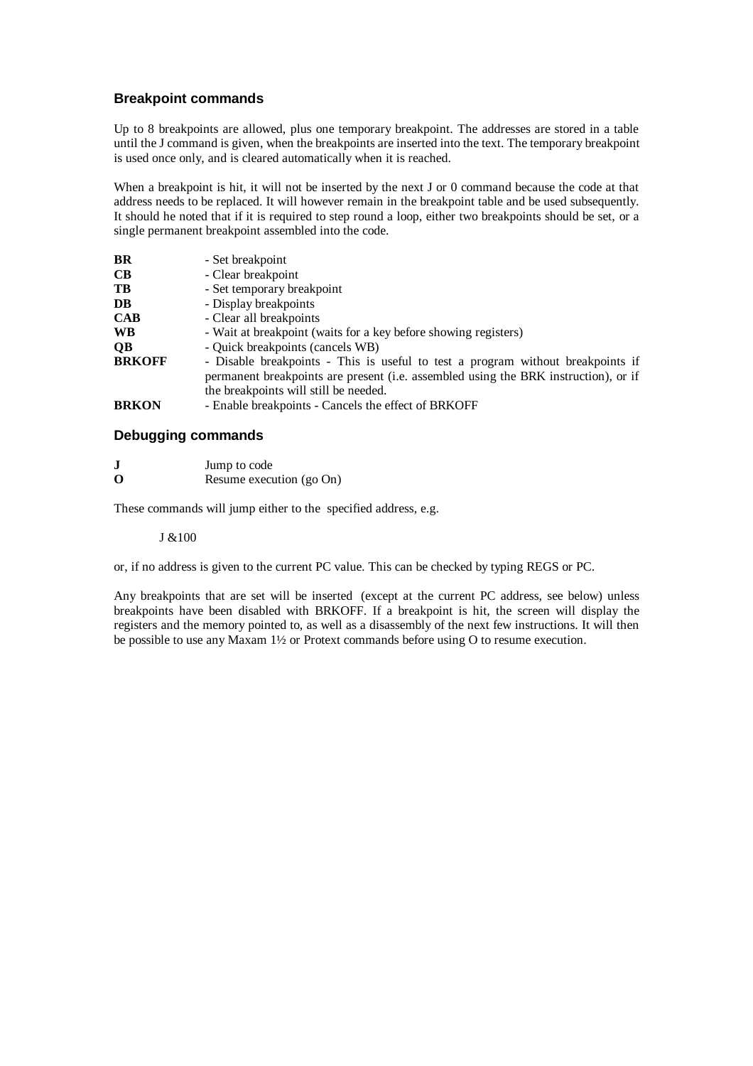## **Breakpoint commands**

Up to 8 breakpoints are allowed, plus one temporary breakpoint. The addresses are stored in a table until the J command is given, when the breakpoints are inserted into the text. The temporary breakpoint is used once only, and is cleared automatically when it is reached.

When a breakpoint is hit, it will not be inserted by the next J or 0 command because the code at that address needs to be replaced. It will however remain in the breakpoint table and be used subsequently. It should he noted that if it is required to step round a loop, either two breakpoints should be set, or a single permanent breakpoint assembled into the code.

| <b>BR</b>     | - Set breakpoint                                                                    |
|---------------|-------------------------------------------------------------------------------------|
| CB            | - Clear breakpoint                                                                  |
| TB            | - Set temporary breakpoint                                                          |
| DB            | - Display breakpoints                                                               |
| <b>CAB</b>    | - Clear all breakpoints                                                             |
| <b>WB</b>     | - Wait at breakpoint (waits for a key before showing registers)                     |
| QB            | - Quick breakpoints (cancels WB)                                                    |
| <b>BRKOFF</b> | - Disable breakpoints - This is useful to test a program without breakpoints if     |
|               | permanent breakpoints are present (i.e. assembled using the BRK instruction), or if |
|               | the breakpoints will still be needed.                                               |
| <b>BRKON</b>  | - Enable breakpoints - Cancels the effect of BRKOFF                                 |
|               |                                                                                     |

## **Debugging commands**

| J | Jump to code |
|---|--------------|
|   |              |

**O** Resume execution (go On)

These commands will jump either to the specified address, e.g.

## J &100

or, if no address is given to the current PC value. This can be checked by typing REGS or PC.

Any breakpoints that are set will be inserted (except at the current PC address, see below) unless breakpoints have been disabled with BRKOFF. If a breakpoint is hit, the screen will display the registers and the memory pointed to, as well as a disassembly of the next few instructions. It will then be possible to use any Maxam 1½ or Protext commands before using O to resume execution.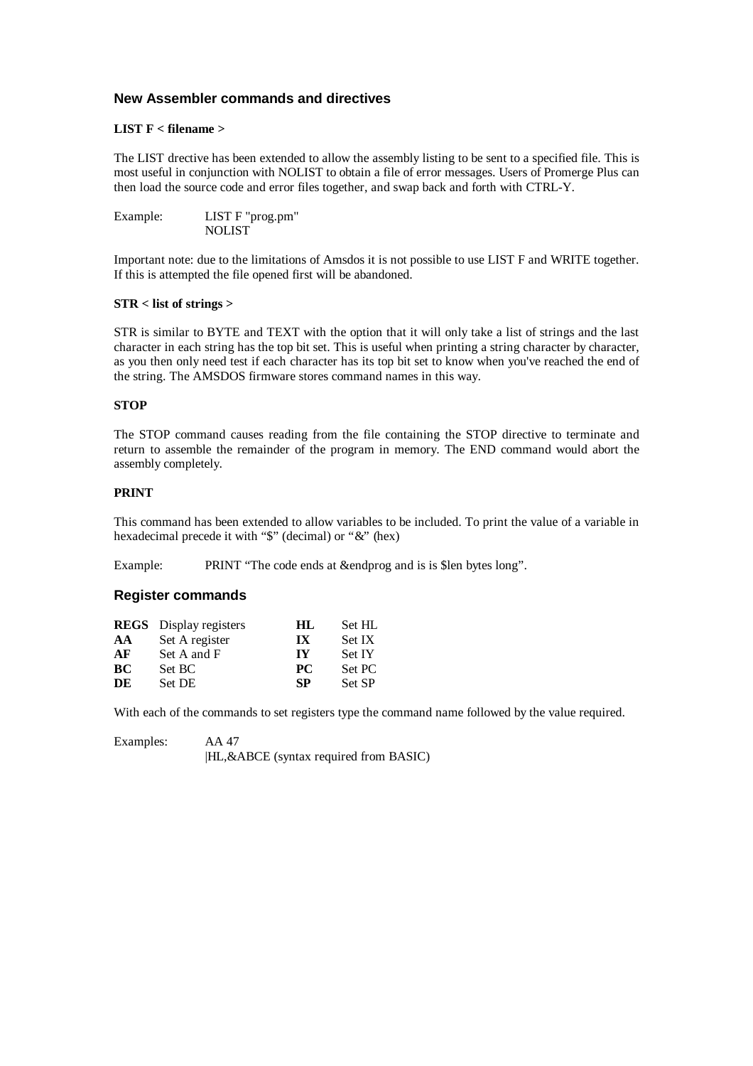## **New Assembler commands and directives**

### **LIST F < filename >**

The LIST drective has been extended to allow the assembly listing to be sent to a specified file. This is most useful in conjunction with NOLIST to obtain a file of error messages. Users of Promerge Plus can then load the source code and error files together, and swap back and forth with CTRL-Y.

| Example: | LIST F "prog.pm" |
|----------|------------------|
|          | <b>NOLIST</b>    |

Important note: due to the limitations of Amsdos it is not possible to use LIST F and WRITE together. If this is attempted the file opened first will be abandoned.

### **STR < list of strings >**

STR is similar to BYTE and TEXT with the option that it will only take a list of strings and the last character in each string has the top bit set. This is useful when printing a string character by character, as you then only need test if each character has its top bit set to know when you've reached the end of the string. The AMSDOS firmware stores command names in this way.

### **STOP**

The STOP command causes reading from the file containing the STOP directive to terminate and return to assemble the remainder of the program in memory. The END command would abort the assembly completely.

## **PRINT**

This command has been extended to allow variables to be included. To print the value of a variable in hexadecimal precede it with "\$" (decimal) or "&" (hex)

Example: PRINT "The code ends at &endprog and is is \$len bytes long".

### **Register commands**

|    | <b>REGS</b> Display registers | НL                      | Set HL        |
|----|-------------------------------|-------------------------|---------------|
| AA | Set A register                | $\mathbf{I} \mathbf{X}$ | Set IX        |
| AF | Set A and F                   | IY                      | <b>Set IY</b> |
| BС | Set BC                        | <b>PC</b>               | Set PC        |
| DE | Set DE                        | <b>SP</b>               | Set SP        |

With each of the commands to set registers type the command name followed by the value required.

| Examples: | AA 47                                       |
|-----------|---------------------------------------------|
|           | $ HL, \&$ ABCE (syntax required from BASIC) |